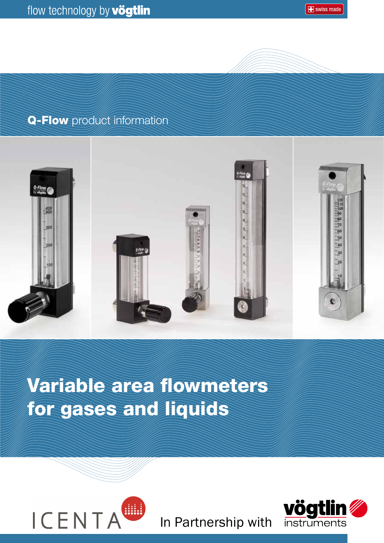**E** swiss made

### Q-Flow product information



# Variable area flowmeters for gases and liquids



In Partnership with

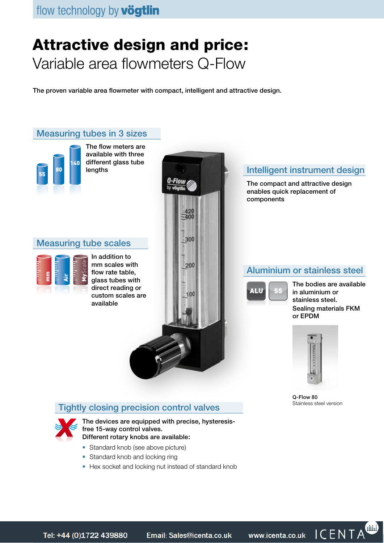## Attractive design and price: Variable area flowmeters Q-Flow

The proven variable area flowmeter with compact, intelligent and attractive design.



- Standard knob and locking ring
- Hex socket and locking nut instead of standard knob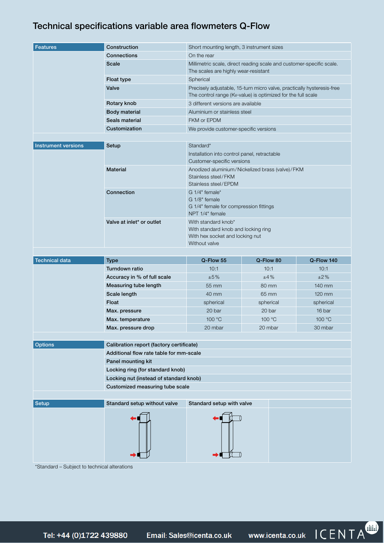#### Technical specifications variable area flowmeters Q-Flow

| <b>Features</b>            | Construction                             | Short mounting length, 3 instrument sizes                                                                                              |           |            |  |  |  |  |  |  |
|----------------------------|------------------------------------------|----------------------------------------------------------------------------------------------------------------------------------------|-----------|------------|--|--|--|--|--|--|
|                            | Connections                              | On the rear                                                                                                                            |           |            |  |  |  |  |  |  |
|                            | <b>Scale</b>                             | Millimetric scale, direct reading scale and customer-specific scale.<br>The scales are highly wear-resistant                           |           |            |  |  |  |  |  |  |
|                            | Float type                               | Spherical                                                                                                                              |           |            |  |  |  |  |  |  |
|                            | Valve                                    | Precisely adjustable, 15-turn micro valve, practically hysteresis-free<br>The control range (Kv-value) is optimized for the full scale |           |            |  |  |  |  |  |  |
|                            | Rotary knob                              | 3 different versions are available                                                                                                     |           |            |  |  |  |  |  |  |
|                            | <b>Body material</b>                     | Aluminium or stainless steel                                                                                                           |           |            |  |  |  |  |  |  |
|                            | Seals material                           | FKM or EPDM                                                                                                                            |           |            |  |  |  |  |  |  |
|                            | Customization                            | We provide customer-specific versions                                                                                                  |           |            |  |  |  |  |  |  |
|                            |                                          |                                                                                                                                        |           |            |  |  |  |  |  |  |
| <b>Instrument versions</b> | Setup                                    | Standard*<br>Installation into control panel, retractable                                                                              |           |            |  |  |  |  |  |  |
|                            | <b>Material</b>                          | Customer-specific versions<br>Anodized aluminium/Nickelized brass (valve)/FKM<br>Stainless steel/FKM                                   |           |            |  |  |  |  |  |  |
|                            | Connection                               | Stainless steel/EPDM<br>G 1/4" female*<br>G 1/8" female<br>G 1/4" female for compression fittings<br>NPT 1/4" female                   |           |            |  |  |  |  |  |  |
|                            | Valve at inlet* or outlet                | With standard knob*<br>With standard knob and locking ring<br>With hex socket and locking nut<br>Without valve                         |           |            |  |  |  |  |  |  |
| <b>Technical data</b>      | <b>Type</b>                              | Q-Flow 55                                                                                                                              | Q-Flow 80 | Q-Flow 140 |  |  |  |  |  |  |
|                            | Turndown ratio                           | 10:1                                                                                                                                   | 10:1      | 10:1       |  |  |  |  |  |  |
|                            | Accuracy in % of full scale              | ±5%                                                                                                                                    | ±4%       | ±2%        |  |  |  |  |  |  |
|                            | Measuring tube length                    | 55 mm                                                                                                                                  | 80 mm     | 140 mm     |  |  |  |  |  |  |
|                            | Scale length                             | 40 mm                                                                                                                                  | 65 mm     | 120 mm     |  |  |  |  |  |  |
|                            | Float                                    | spherical                                                                                                                              | spherical | spherical  |  |  |  |  |  |  |
|                            | Max. pressure                            | 20 bar                                                                                                                                 | 20 bar    | 16 bar     |  |  |  |  |  |  |
|                            | Max. temperature                         | 100 °C                                                                                                                                 | 100 °C    | 100 °C     |  |  |  |  |  |  |
|                            | Max. pressure drop                       | 20 mbar                                                                                                                                | 20 mbar   | 30 mbar    |  |  |  |  |  |  |
| <b>Options</b>             | Calibration report (factory certificate) |                                                                                                                                        |           |            |  |  |  |  |  |  |
|                            | Additional flow rate table for mm-scale  |                                                                                                                                        |           |            |  |  |  |  |  |  |
|                            | Panel mounting kit                       |                                                                                                                                        |           |            |  |  |  |  |  |  |
|                            | Locking ring (for standard knob)         |                                                                                                                                        |           |            |  |  |  |  |  |  |
|                            |                                          |                                                                                                                                        |           |            |  |  |  |  |  |  |
|                            | Locking nut (instead of standard knob)   |                                                                                                                                        |           |            |  |  |  |  |  |  |
|                            | Customized measuring tube scale          |                                                                                                                                        |           |            |  |  |  |  |  |  |
| <b>Setup</b>               | Standard setup without valve             | Standard setup with valve                                                                                                              |           |            |  |  |  |  |  |  |

\*Standard – Subject to technical alterations

Tel: +44 (0)1722 439880

Email: Sales@icenta.co.uk

www.icenta.co.uk ICENTA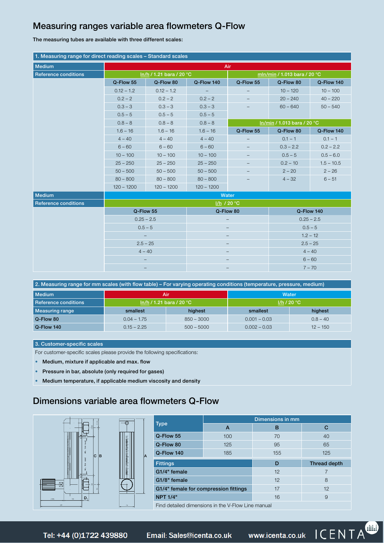#### Measuring ranges variable area flowmeters Q-Flow

The measuring tubes are available with three different scales:

| 1. Measuring range for direct reading scales - Standard scales |                                         |                          |              |            |                              |              |  |  |  |
|----------------------------------------------------------------|-----------------------------------------|--------------------------|--------------|------------|------------------------------|--------------|--|--|--|
| Medium                                                         | Air                                     |                          |              |            |                              |              |  |  |  |
| <b>Reference conditions</b>                                    |                                         | In/h / 1.21 bara / 20 °C |              |            | mln/min / 1.013 bara / 20 °C |              |  |  |  |
|                                                                | Q-Flow 55                               | Q-Flow 80                | Q-Flow 140   | Q-Flow 55  | Q-Flow 80                    | Q-Flow 140   |  |  |  |
|                                                                | $0.12 - 1.2$                            | $0.12 - 1.2$             |              |            | $10 - 120$                   | $10 - 100$   |  |  |  |
|                                                                | $0.2 - 2$                               | $0.2 - 2$                | $0.2 - 2$    |            | $20 - 240$                   | $40 - 220$   |  |  |  |
|                                                                | $0.3 - 3$                               | $0.3 - 3$                | $0.3 - 3$    |            | $60 - 640$                   | $50 - 540$   |  |  |  |
|                                                                | $0.5 - 5$                               | $0.5 - 5$                | $0.5 - 5$    |            |                              |              |  |  |  |
|                                                                | $0.8 - 8$                               | $0.8 - 8$                | $0.8 - 8$    |            | In/min / 1.013 bara / 20 °C  |              |  |  |  |
|                                                                | $1.6 - 16$                              | $1.6 - 16$               | $1.6 - 16$   | Q-Flow 55  | Q-Flow 80                    | Q-Flow 140   |  |  |  |
|                                                                | $4 - 40$                                | $4 - 40$                 | $4 - 40$     |            | $0.1 - 1$                    | $0.1 - 1$    |  |  |  |
|                                                                | $6 - 60$                                | $6 - 60$                 | $6 - 60$     |            | $0.3 - 2.2$                  | $0.2 - 2.2$  |  |  |  |
|                                                                | $10 - 100$                              | $10 - 100$               | $10 - 100$   |            | $0.5 - 5$                    | $0.5 - 6.0$  |  |  |  |
|                                                                | $25 - 250$                              | $25 - 250$               | $25 - 250$   |            | $0.2 - 10$                   | $1.5 - 10.5$ |  |  |  |
|                                                                | $50 - 500$                              | $50 - 500$               | $50 - 500$   |            | $2 - 20$                     | $2 - 26$     |  |  |  |
|                                                                | $80 - 800$                              | $80 - 800$               | $80 - 800$   |            | $4 - 32$                     | $6 - 51$     |  |  |  |
|                                                                | $120 - 1200$                            | $120 - 1200$             | $120 - 1200$ |            |                              |              |  |  |  |
| <b>Medium</b>                                                  | Water                                   |                          |              |            |                              |              |  |  |  |
| <b>Reference conditions</b>                                    | I/h / 20 °C                             |                          |              |            |                              |              |  |  |  |
|                                                                | Q-Flow 55                               |                          |              | Q-Flow 80  | Q-Flow 140                   |              |  |  |  |
|                                                                | $0.25 - 2.5$<br>$0.5 - 5$<br>$2.5 - 25$ |                          |              |            | $0.25 - 2.5$                 |              |  |  |  |
|                                                                |                                         |                          |              |            | $0.5 - 5$                    |              |  |  |  |
|                                                                |                                         |                          |              |            | $1.2 - 12$                   |              |  |  |  |
|                                                                |                                         |                          |              | $2.5 - 25$ |                              |              |  |  |  |
|                                                                | $4 - 40$                                |                          |              |            |                              | $4 - 40$     |  |  |  |
|                                                                |                                         |                          |              |            |                              | $6 - 60$     |  |  |  |
|                                                                |                                         |                          |              | $7 - 70$   |                              |              |  |  |  |

| 2. Measuring range for mm scales (with flow table) – For varying operating conditions (temperature, pressure, medium) |                            |              |                |            |  |  |  |  |
|-----------------------------------------------------------------------------------------------------------------------|----------------------------|--------------|----------------|------------|--|--|--|--|
| <b>Medium</b>                                                                                                         | Air                        |              | <b>Water</b>   |            |  |  |  |  |
| Reference conditions                                                                                                  | $ln/h / 1.21$ bara / 20 °C |              | 1/h/20 °C      |            |  |  |  |  |
| <b>Measuring range</b>                                                                                                | highest<br>smallest        |              | smallest       | highest    |  |  |  |  |
| Q-Flow 80                                                                                                             | $0.04 - 1.75$              | $850 - 3000$ | $0.001 - 0.03$ | $0.8 - 40$ |  |  |  |  |
| Q-Flow 140                                                                                                            | $0.15 - 2.25$              | $500 - 5000$ | $0.002 - 0.03$ | $12 - 150$ |  |  |  |  |

#### 3. Customer-specific scales

For customer-specific scales please provide the following specifications:

- Medium, mixture if applicable and max. flow
- Pressure in bar, absolute (only required for gases)
- Medium temperature, if applicable medium viscosity and density

#### Dimensions variable area flowmeters Q-Flow



| <b>Type</b>                           |     | Dimensions in mm |                     |  |  |  |
|---------------------------------------|-----|------------------|---------------------|--|--|--|
|                                       | A   | в                | С                   |  |  |  |
| Q-Flow 55                             | 100 | 70               | 40                  |  |  |  |
| Q-Flow 80                             | 125 | 95               | 65                  |  |  |  |
| Q-Flow 140                            | 185 | 155              | 125                 |  |  |  |
| <b>Fittings</b>                       |     | D                | <b>Thread depth</b> |  |  |  |
| G1/4" female                          |     | 12               |                     |  |  |  |
| G1/8" female                          |     | 12               | 8                   |  |  |  |
| G1/4" female for compression fittings |     | 17               | 12                  |  |  |  |
| <b>NPT 1/4"</b>                       |     | 16               | 9                   |  |  |  |

Find detailed dimensions in the V-Flow Line manual

Tel: +44 (0)1722 439880

Email: Sales@icenta.co.uk

www.icenta.co.uk ICENTA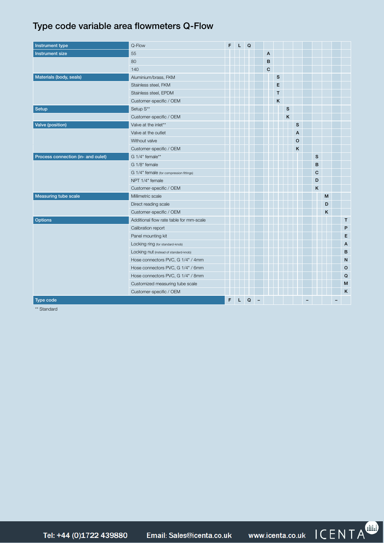#### Type code variable area flowmeters Q-Flow

| Instrument type                    | Q-Flow                                   | F | L. | $\mathsf Q$ |             |   |   |              |              |   |                |
|------------------------------------|------------------------------------------|---|----|-------------|-------------|---|---|--------------|--------------|---|----------------|
| Instrument size                    | 55                                       |   |    |             | A           |   |   |              |              |   |                |
|                                    | 80                                       |   |    |             | B           |   |   |              |              |   |                |
|                                    | 140                                      |   |    |             | $\mathbf C$ |   |   |              |              |   |                |
| Materials (body, seals)            | Aluminium/brass, FKM                     |   |    |             |             | S |   |              |              |   |                |
|                                    | Stainless steel, FKM                     |   |    |             |             | E |   |              |              |   |                |
|                                    | Stainless steel, EPDM                    |   |    |             |             | T |   |              |              |   |                |
|                                    | Customer-specific / OEM                  |   |    |             |             | K |   |              |              |   |                |
| Setup                              | Setup S**                                |   |    |             |             |   | S |              |              |   |                |
|                                    | Customer-specific / OEM                  |   |    |             |             |   | K |              |              |   |                |
| Valve (position)                   | Valve at the inlet**                     |   |    |             |             |   |   | $\mathbf{s}$ |              |   |                |
|                                    | Valve at the outlet                      |   |    |             |             |   |   | A            |              |   |                |
|                                    | Without valve                            |   |    |             |             |   |   | $\mathsf{o}$ |              |   |                |
|                                    | Customer-specific / OEM                  |   |    |             |             |   |   | K            |              |   |                |
| Process connection (in- and oulet) | G 1/4" female**                          |   |    |             |             |   |   |              | s            |   |                |
|                                    | G 1/8" female                            |   |    |             |             |   |   |              | B            |   |                |
|                                    | G 1/4" female (for compression fittings) |   |    |             |             |   |   |              | $\mathbf{C}$ |   |                |
|                                    | NPT 1/4" female                          |   |    |             |             |   |   |              | D            |   |                |
|                                    | Customer-specific / OEM                  |   |    |             |             |   |   |              | K            |   |                |
| <b>Measuring tube scale</b>        | Millimetric scale                        |   |    |             |             |   |   |              |              | M |                |
|                                    | Direct reading scale                     |   |    |             |             |   |   |              |              | D |                |
|                                    | Customer-specific / OEM                  |   |    |             |             |   |   |              |              | K |                |
| <b>Options</b>                     | Additional flow rate table for mm-scale  |   |    |             |             |   |   |              |              |   | T              |
|                                    | Calibration report                       |   |    |             |             |   |   |              |              |   | P              |
|                                    | Panel mounting kit                       |   |    |             |             |   |   |              |              |   | E              |
|                                    | Locking ring (for standard-knob)         |   |    |             |             |   |   |              |              |   | $\overline{A}$ |
|                                    | Locking nut (instead of standard-knob)   |   |    |             |             |   |   |              |              |   | B              |
|                                    | Hose connectors PVC, G 1/4" / 4mm        |   |    |             |             |   |   |              |              |   | N              |
|                                    | Hose connectors PVC, G 1/4" / 6mm        |   |    |             |             |   |   |              |              |   | $\circ$        |
|                                    | Hose connectors PVC, G 1/4" / 8mm        |   |    |             |             |   |   |              |              |   | Q              |
|                                    | Customized measuring tube scale          |   |    |             |             |   |   |              |              |   | M              |
|                                    | Customer-specific / OEM                  |   |    |             |             |   |   |              |              |   | $\mathsf{K}$   |
| Type code                          |                                          | F | L. | Q           |             |   |   |              |              |   |                |

\*\* Standard